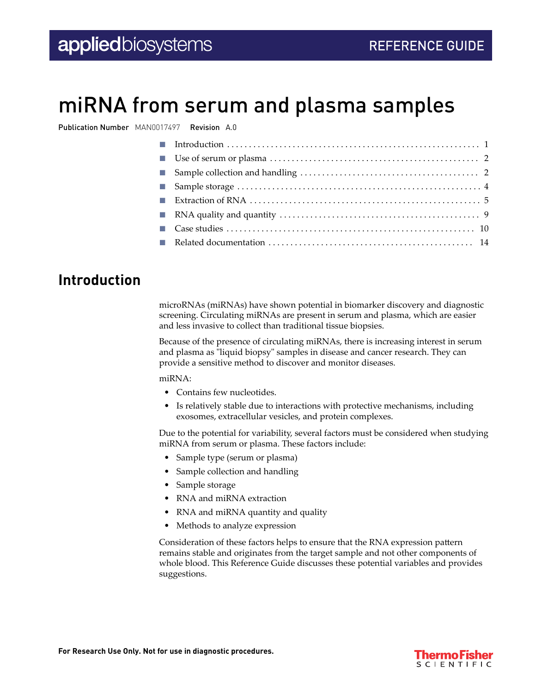# miRNA from serum and plasma samples

Publication Number MAN0017497 Revision A.0

| Use of serum or plasma $\ldots \ldots \ldots \ldots \ldots \ldots \ldots \ldots \ldots \ldots \ldots \ldots \ldots$ |  |
|---------------------------------------------------------------------------------------------------------------------|--|
|                                                                                                                     |  |
|                                                                                                                     |  |
| Extraction of RNA $\dots\dots\dots\dots\dots\dots\dots\dots\dots\dots\dots\dots\dots\dots\dots\dots\dots\dots$      |  |
|                                                                                                                     |  |
|                                                                                                                     |  |
|                                                                                                                     |  |
|                                                                                                                     |  |

### **Introduction**

microRNAs (miRNAs) have shown potential in biomarker discovery and diagnostic screening. Circulating miRNAs are present in serum and plasma, which are easier and less invasive to collect than traditional tissue biopsies.

Because of the presence of circulating miRNAs, there is increasing interest in serum and plasma as "liquid biopsy" samples in disease and cancer research. They can provide a sensitive method to discover and monitor diseases.

miRNA:

- Contains few nucleotides.
- Is relatively stable due to interactions with protective mechanisms, including exosomes, extracellular vesicles, and protein complexes.

Due to the potential for variability, several factors must be considered when studying miRNA from serum or plasma. These factors include:

- Sample type (serum or plasma)
- Sample collection and handling
- Sample storage
- RNA and miRNA extraction
- RNA and miRNA quantity and quality
- Methods to analyze expression

Consideration of these factors helps to ensure that the RNA expression pattern remains stable and originates from the target sample and not other components of whole blood. This Reference Guide discusses these potential variables and provides suggestions.

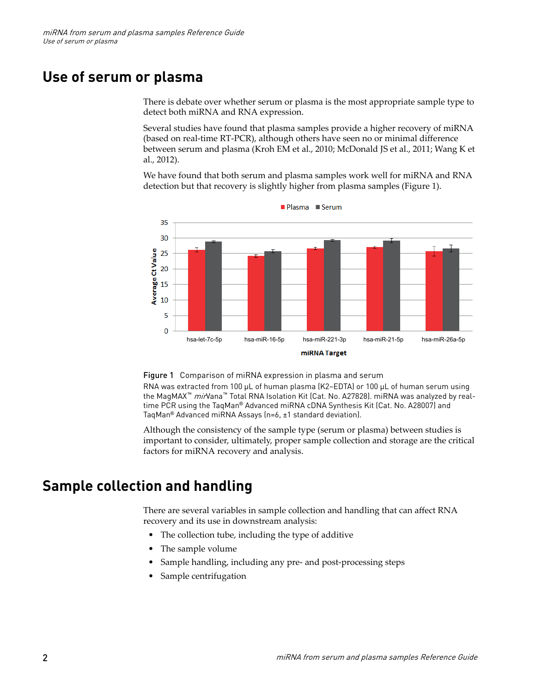### <span id="page-1-0"></span>**Use of serum or plasma**

There is debate over whether serum or plasma is the most appropriate sample type to detect both miRNA and RNA expression.

Several studies have found that plasma samples provide a higher recovery of miRNA (based on real-time RT-PCR), although others have seen no or minimal dfference between serum and plasma (Kroh EM et al., 2010; McDonald JS et al., 2011; Wang K et al., 2012).

We have found that both serum and plasma samples work well for miRNA and RNA detection but that recovery is slightly higher from plasma samples (Figure 1).



Figure 1 Comparison of miRNA expression in plasma and serum

RNA was extracted from 100 µL of human plasma (K2-EDTA) or 100 µL of human serum using the MagMAX<sup>™</sup> mirVana<sup>™</sup> Total RNA Isolation Kit (Cat. No. A27828). miRNA was analyzed by realtime PCR using the TaqMan® Advanced miRNA cDNA Synthesis Kit (Cat. No. A28007) and TaqMan® Advanced miRNA Assays (n=6, ±1 standard deviation).

Although the consistency of the sample type (serum or plasma) between studies is important to consider, ultimately, proper sample collection and storage are the critical factors for miRNA recovery and analysis.

### **Sample collection and handling**

There are several variables in sample collection and handling that can affect RNA recovery and its use in downstream analysis:

- The collection tube, including the type of additive
- The sample volume
- Sample handling, including any pre- and post-processing steps
- Sample centrifugation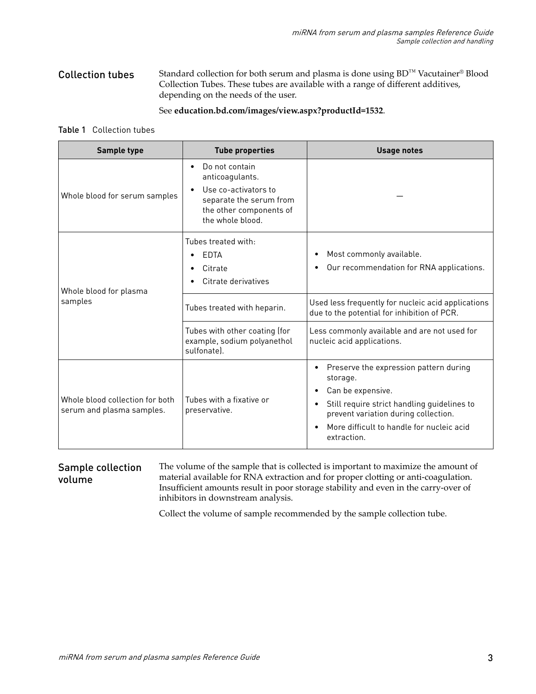Standard collection for both serum and plasma is done using BD™ Vacutainer® Blood Collection Tubes. These tubes are available with a range of different additives, depending on the needs of the user. Collection tubes

#### See **[education.bd.com/images/view.aspx?productId=1532](https://education.bd.com/images/view.aspx?productId=1532)**.

#### Table 1 Collection tubes

| Sample type                                                                                                                                                          | <b>Tube properties</b>                                                      | <b>Usage notes</b>                                                                                                                                                                                                                                                |  |
|----------------------------------------------------------------------------------------------------------------------------------------------------------------------|-----------------------------------------------------------------------------|-------------------------------------------------------------------------------------------------------------------------------------------------------------------------------------------------------------------------------------------------------------------|--|
| Do not contain<br>anticoagulants.<br>Use co-activators to<br>Whole blood for serum samples<br>separate the serum from<br>the other components of<br>the whole blood. |                                                                             |                                                                                                                                                                                                                                                                   |  |
| Whole blood for plasma                                                                                                                                               | Tubes treated with:<br>EDTA<br>Citrate<br>Citrate derivatives               | Most commonly available.<br>$\bullet$<br>Our recommendation for RNA applications.                                                                                                                                                                                 |  |
| samples                                                                                                                                                              | Tubes treated with heparin.                                                 | Used less frequently for nucleic acid applications<br>due to the potential for inhibition of PCR.                                                                                                                                                                 |  |
|                                                                                                                                                                      | Tubes with other coating (for<br>example, sodium polyanethol<br>sulfonate). | Less commonly available and are not used for<br>nucleic acid applications.                                                                                                                                                                                        |  |
| Whole blood collection for both<br>serum and plasma samples.                                                                                                         | Tubes with a fixative or<br>preservative.                                   | Preserve the expression pattern during<br>$\bullet$<br>storage.<br>Can be expensive.<br>$\bullet$<br>Still require strict handling guidelines to<br>$\bullet$<br>prevent variation during collection.<br>More difficult to handle for nucleic acid<br>extraction. |  |

#### The volume of the sample that is collected is important to maximize the amount of material available for RNA extraction and for proper clotting or anti-coagulation. nsufficent amounts result in poor storage stability and even in the carry-over of inhibitors in downstream analysis. Sample collection volume

Collect the volume of sample recommended by the sample collection tube.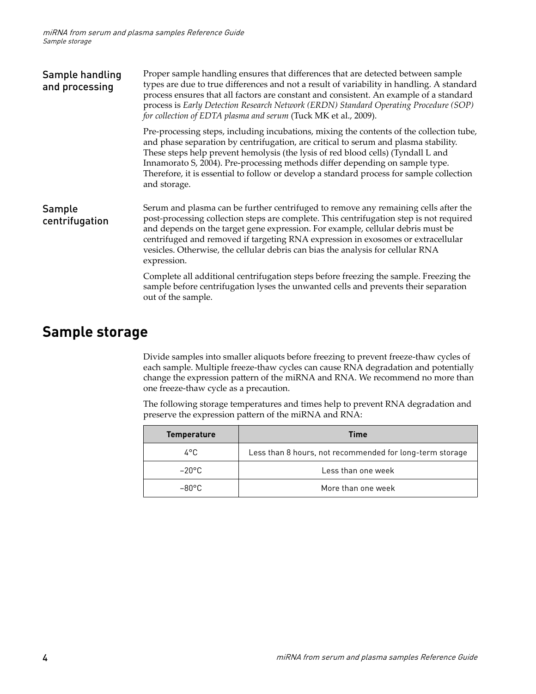<span id="page-3-0"></span>

| Sample handling<br>and processing | Proper sample handling ensures that differences that are detected between sample<br>types are due to true differences and not a result of variability in handling. A standard<br>process ensures that all factors are constant and consistent. An example of a standard<br>process is Early Detection Research Network (ERDN) Standard Operating Procedure (SOP)<br>for collection of EDTA plasma and serum (Tuck MK et al., 2009).                             |  |  |
|-----------------------------------|-----------------------------------------------------------------------------------------------------------------------------------------------------------------------------------------------------------------------------------------------------------------------------------------------------------------------------------------------------------------------------------------------------------------------------------------------------------------|--|--|
|                                   | Pre-processing steps, including incubations, mixing the contents of the collection tube,<br>and phase separation by centrifugation, are critical to serum and plasma stability.<br>These steps help prevent hemolysis (the lysis of red blood cells) (Tyndall L and<br>Innamorato S, 2004). Pre-processing methods differ depending on sample type.<br>Therefore, it is essential to follow or develop a standard process for sample collection<br>and storage. |  |  |
| Sample<br>centrifugation          | Serum and plasma can be further centrifuged to remove any remaining cells after the<br>post-processing collection steps are complete. This centrifugation step is not required<br>and depends on the target gene expression. For example, cellular debris must be<br>centrifuged and removed if targeting RNA expression in exosomes or extracellular<br>vesicles. Otherwise, the cellular debris can bias the analysis for cellular RNA<br>expression.         |  |  |
|                                   | Complete all additional centrifugation steps before freezing the sample. Freezing the<br>sample before centrifugation lyses the unwanted cells and prevents their separation<br>out of the sample.                                                                                                                                                                                                                                                              |  |  |

### **Sample storage**

Divide samples into smaller aliquots before freezing to prevent freeze-thaw cycles of each sample. Multiple freeze-thaw cycles can cause RNA degradation and potentially change the expression pattern of the miRNA and RNA. We recommend no more than one freeze-thaw cycle as a precaution.

The following storage temperatures and times help to prevent RNA degradation and preserve the expression pattern of the miRNA and RNA:

| <b>Temperature</b> | <b>Time</b>                                              |
|--------------------|----------------------------------------------------------|
| 4°C.               | Less than 8 hours, not recommended for long-term storage |
| $-20^{\circ}$ C    | Less than one week                                       |
| $-80^{\circ}$ C    | More than one week                                       |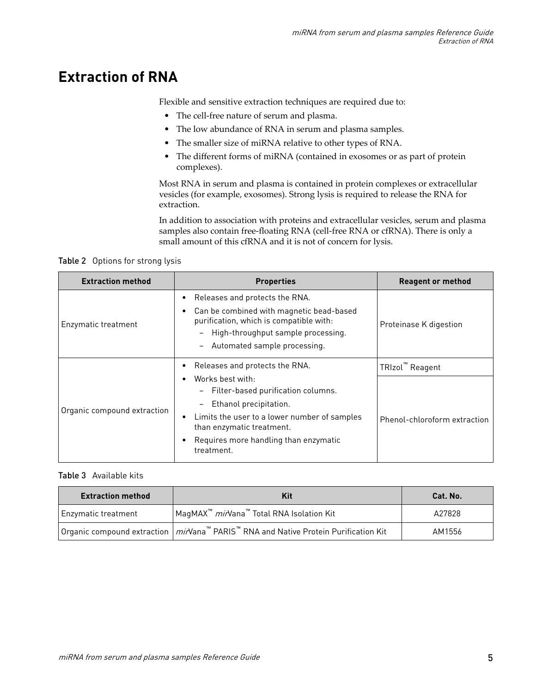## <span id="page-4-0"></span>**Extraction of RNA**

Flexible and sensitive extraction techniques are required due to:

- The cell-free nature of serum and plasma.
- The low abundance of RNA in serum and plasma samples.
- The smaller size of miRNA relative to other types of RNA.
- The different forms of miRNA (contained in exosomes or as part of protein complexes).

Most RNA in serum and plasma is contained in protein complexes or extracellular vesicles (for example, exosomes). Strong lysis is required to release the RNA for extraction.

In addition to association with proteins and extracellular vesicles, serum and plasma samples also contain free-floating RNA (cell-free RNA or cfRNA). There is only a small amount of this cfRNA and it is not of concern for lysis.

Table 2 Options for strong lysis

| <b>Extraction method</b>    | <b>Properties</b>                                                                                                                                                                           | <b>Reagent or method</b>     |
|-----------------------------|---------------------------------------------------------------------------------------------------------------------------------------------------------------------------------------------|------------------------------|
| Enzymatic treatment         | Releases and protects the RNA.<br>Can be combined with magnetic bead-based<br>purification, which is compatible with:<br>High-throughput sample processing.<br>Automated sample processing. | Proteinase K digestion       |
|                             | Releases and protects the RNA.                                                                                                                                                              | TRIzol™ Reagent              |
| Organic compound extraction | Works best with:<br>Filter-based purification columns.<br>Ethanol precipitation.                                                                                                            |                              |
|                             | Limits the user to a lower number of samples<br>than enzymatic treatment.                                                                                                                   | Phenol-chloroform extraction |
|                             | Requires more handling than enzymatic<br>treatment.                                                                                                                                         |                              |

### Table 3 Available kits

| <b>Extraction method</b> | Kit                                                                                                                          | Cat. No. |
|--------------------------|------------------------------------------------------------------------------------------------------------------------------|----------|
| Enzymatic treatment      | MagMAX™ mirVana™ Total RNA Isolation Kit                                                                                     | A27828   |
|                          | Organic compound extraction $\mid m\prime\prime$ ana <sup>n</sup> PARIS <sup>n</sup> RNA and Native Protein Purification Kit | AM1556   |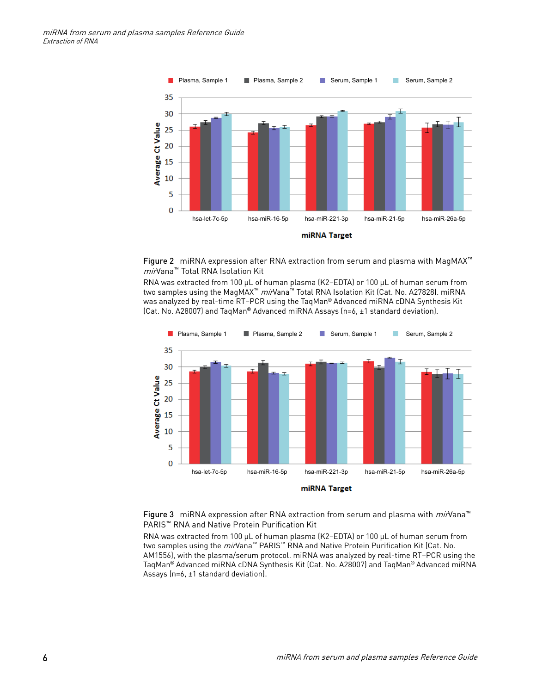

Figure 2 miRNA expression after RNA extraction from serum and plasma with MagMAX™ *mir*Vana™ Total RNA Isolation Kit

RNA was extracted from 100 µL of human plasma (K2–EDTA) or 100 µL of human serum from two samples using the MagMAX<sup>™</sup> mirVana<sup>™</sup> Total RNA Isolation Kit (Cat. No. A27828). miRNA was analyzed by real-time RT–PCR using the TaqMan® Advanced miRNA cDNA Synthesis Kit (Cat. No. A28007) and TaqMan® Advanced miRNA Assays (n=6, ±1 standard deviation).



miRNA Target

Figure 3 miRNA expression after RNA extraction from serum and plasma with  $mi$ Nana<sup>™</sup> PARIS™ RNA and Native Protein Purification Kit

RNA was extracted from 100 µL of human plasma (K2–EDTA) or 100 µL of human serum from two samples using the *mir*Vana<sup>™</sup> PARIS<sup>™</sup> RNA and Native Protein Purification Kit (Cat. No. AM1556), with the plasma/serum protocol. miRNA was analyzed by real-time RT–PCR using the TaqMan® Advanced miRNA cDNA Synthesis Kit (Cat. No. A28007) and TaqMan® Advanced miRNA Assays (n=6, ±1 standard deviation).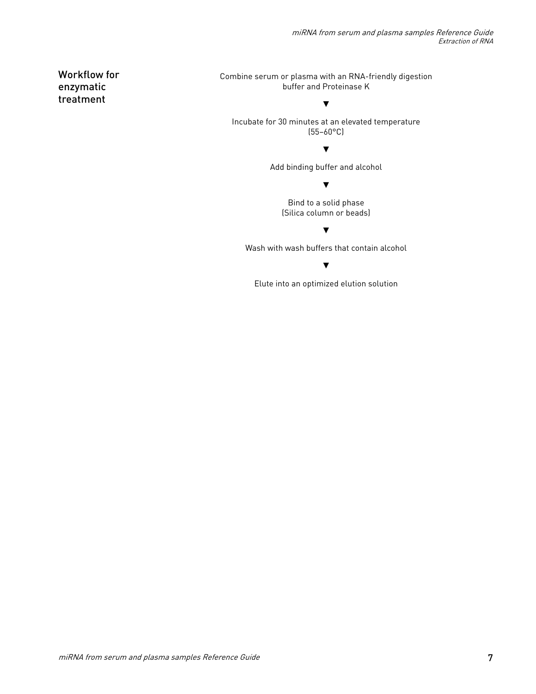Workflow for enzymatic treatment

Combine serum or plasma with an RNA-friendly digestion buffer and Proteinase K

Incubate for 30 minutes at an elevated temperature (55–60°C)

▼

#### ▼

Add binding buffer and alcohol

▼

Bind to a solid phase (Silica column or beads)

▼

Wash with wash buffers that contain alcohol

▼

Elute into an optimized elution solution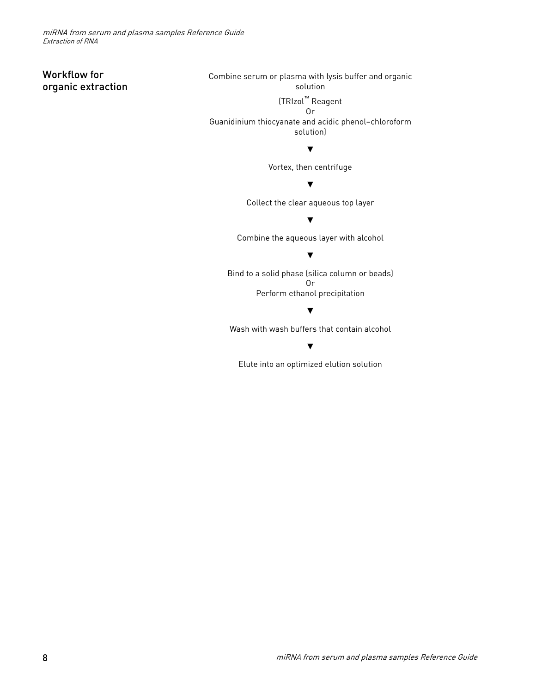### Workflow for organic extraction

Combine serum or plasma with lysis buffer and organic solution

(TRIzol™ Reagent

Or Guanidinium thiocyanate and acidic phenol–chloroform solution)

▼

Vortex, then centrifuge

#### ▼

Collect the clear aqueous top layer

▼

Combine the aqueous layer with alcohol

#### ▼

Bind to a solid phase (silica column or beads) Or Perform ethanol precipitation

#### ▼

Wash with wash buffers that contain alcohol

▼

Elute into an optimized elution solution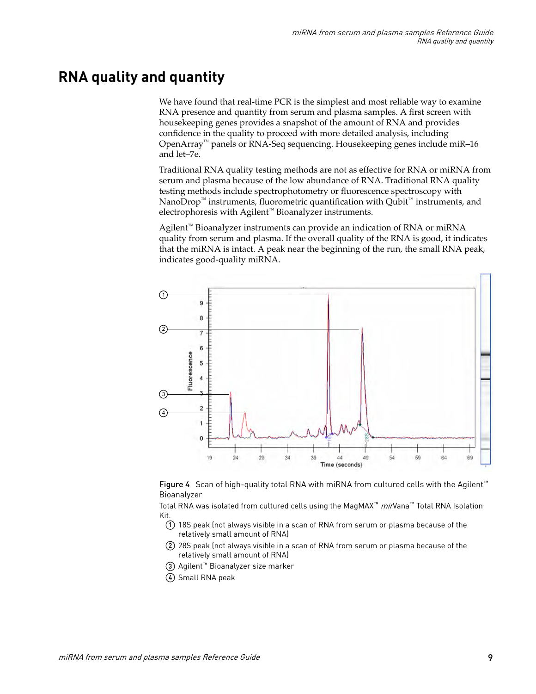### <span id="page-8-0"></span>**RNA quality and quantity**

We have found that real-time PCR is the simplest and most reliable way to examine RNA presence and quantity from serum and plasma samples. A first screen with housekeeping genes provides a snapshot of the amount of RNA and provides confidence in the quality to proceed with more detailed analysis, including OpenArray™ panels or RNA-Seq sequencing. Housekeeping genes include miR–16 and let–7e.

Traditional RNA quality testing methods are not as effectve for RNA or miRNA from serum and plasma because of the low abundance of RNA. Traditional RNA quality testing methods include spectrophotometry or fluorescence spectroscopy with NanoDrop™ instruments, fluorometric quantification with Qubit™ instruments, and electrophoresis with Agilent™ Bioanalyzer instruments.

Agilent™ Bioanalyzer instruments can provide an indication of RNA or miRNA quality from serum and plasma. If the overall quality of the RNA is good, it indicates that the miRNA is intact. A peak near the beginning of the run, the small RNA peak, indicates good-quality miRNA.





Total RNA was isolated from cultured cells using the MagMAX<sup>™</sup> mirVana<sup>™</sup> Total RNA Isolation Kit.

- $(1)$  18S peak (not always visible in a scan of RNA from serum or plasma because of the relatively small amount of RNA)
- 2 28S peak (not always visible in a scan of RNA from serum or plasma because of the relatively small amount of RNA)
- 3 Agilent™ Bioanalyzer size marker
- 4 Small RNA peak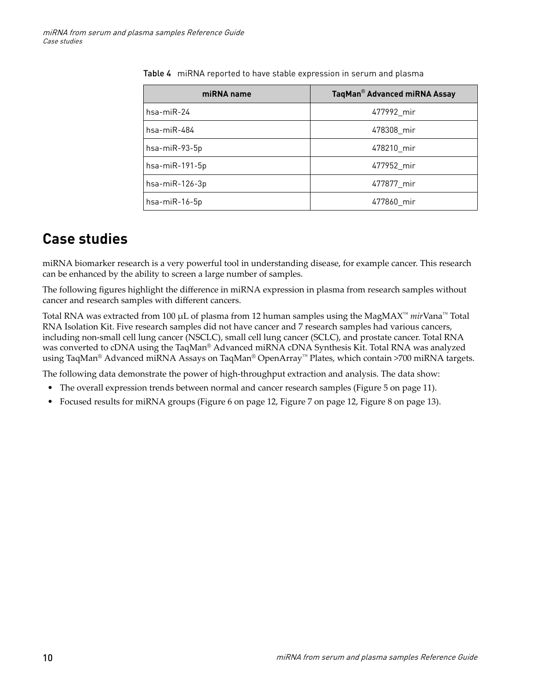| miRNA name         | TaqMan® Advanced miRNA Assay |
|--------------------|------------------------------|
| $hsa$ -mi $R-24$   | 477992 mir                   |
| $hsa$ -mi $R$ -484 | 478308 mir                   |
| hsa-miR-93-5p      | 478210 mir                   |
| hsa-miR-191-5p     | 477952_mir                   |
| hsa-miR-126-3p     | 477877 mir                   |
| hsa-miR-16-5p      | 477860 mir                   |

<span id="page-9-0"></span>Table 4 miRNA reported to have stable expression in serum and plasma

### **Case studies**

miRNA biomarker research is a very powerful tool in understanding disease, for example cancer. This research can be enhanced by the ability to screen a large number of samples.

The following figures highlight the dfference in miRNA expression in plasma from research samples without cancer and research samples with different cancers.

Total RNA was extracted from 100 µL of plasma from 12 human samples using the MagMAX™ *mir*Vana™ Total RNA Isolation Kit. Five research samples did not have cancer and 7 research samples had various cancers, including non-small cell lung cancer (NSCLC), small cell lung cancer (SCLC), and prostate cancer. Total RNA was converted to cDNA using the TaqMan® Advanced miRNA cDNA Synthesis Kit. Total RNA was analyzed using TaqMan® Advanced miRNA Assays on TaqMan® OpenArray™ Plates, which contain >700 miRNA targets.

The following data demonstrate the power of high-throughput extraction and analysis. The data show:

- The overall expression trends between normal and cancer research samples [\(Figure 5 on page 11](#page-10-0)).
- Focused results for miRNA groups ([Figure 6 on page 12](#page-11-0), [Figure 7 on page 12,](#page-11-0) [Figure 8 on page 13](#page-12-0)).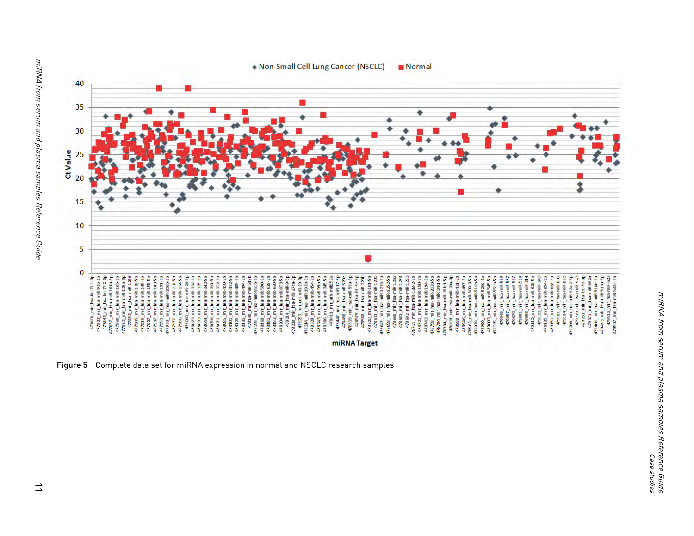<span id="page-10-0"></span>

Figure 5 Complete data set for miRNA expression in normal and NSCLC research samples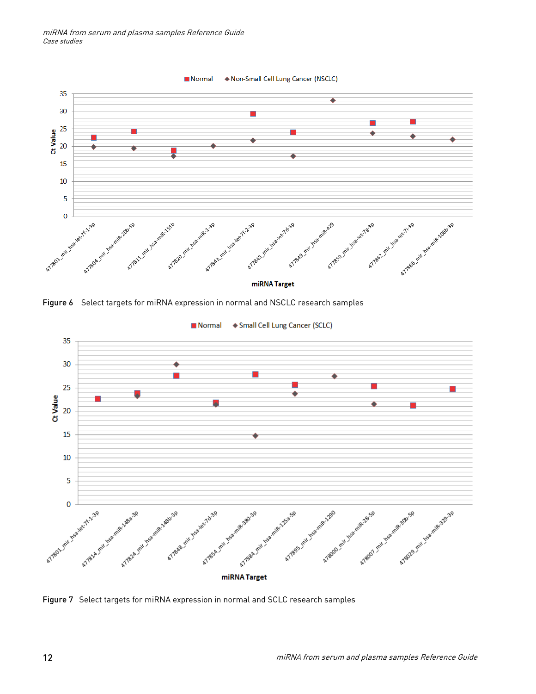<span id="page-11-0"></span>miRNA from serum and plasma samples Reference Guide Case studies



Figure 6 Select targets for miRNA expression in normal and NSCLC research samples



◆ Small Cell Lung Cancer (SCLC) **Normal** 

Figure 7 Select targets for miRNA expression in normal and SCLC research samples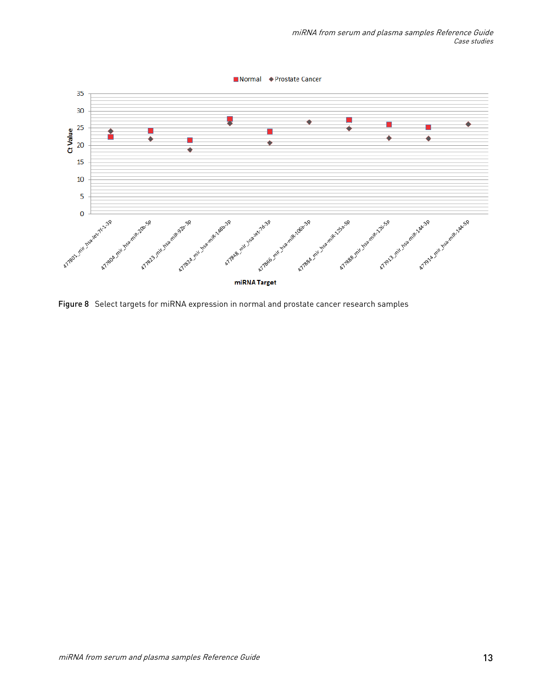<span id="page-12-0"></span>![](_page_12_Figure_1.jpeg)

Figure 8 Select targets for miRNA expression in normal and prostate cancer research samples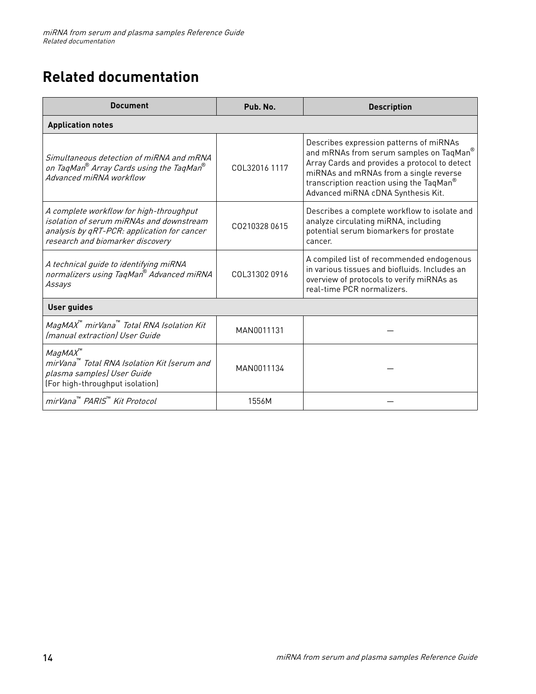# <span id="page-13-0"></span>**Related documentation**

| <b>Document</b>                                                                                                                                                        | Pub. No.      | <b>Description</b>                                                                                                                                                                                                                                              |  |  |
|------------------------------------------------------------------------------------------------------------------------------------------------------------------------|---------------|-----------------------------------------------------------------------------------------------------------------------------------------------------------------------------------------------------------------------------------------------------------------|--|--|
| <b>Application notes</b>                                                                                                                                               |               |                                                                                                                                                                                                                                                                 |  |  |
| Simultaneous detection of miRNA and mRNA<br>on TaqMan® Array Cards using the TaqMan®<br>Advanced miRNA workflow                                                        | COL32016 1117 | Describes expression patterns of miRNAs<br>and mRNAs from serum samples on TaqMan®<br>Array Cards and provides a protocol to detect<br>miRNAs and mRNAs from a single reverse<br>transcription reaction using the TaqMan®<br>Advanced miRNA cDNA Synthesis Kit. |  |  |
| A complete workflow for high-throughput<br>isolation of serum miRNAs and downstream<br>analysis by qRT-PCR: application for cancer<br>research and biomarker discovery | CO210328 0615 | Describes a complete workflow to isolate and<br>analyze circulating miRNA, including<br>potential serum biomarkers for prostate<br>cancer.                                                                                                                      |  |  |
| A technical guide to identifying miRNA<br>normalizers using TaqMan® Advanced miRNA<br>Assays                                                                           | COL313020916  | A compiled list of recommended endogenous<br>in various tissues and biofluids. Includes an<br>overview of protocols to verify miRNAs as<br>real-time PCR normalizers.                                                                                           |  |  |
| <b>User guides</b>                                                                                                                                                     |               |                                                                                                                                                                                                                                                                 |  |  |
| MagMAX™ mirVana™ Total RNA Isolation Kit<br>(manual extraction) User Guide                                                                                             | MAN0011131    |                                                                                                                                                                                                                                                                 |  |  |
| MagMAX<br>mirVana™ Total RNA Isolation Kit (serum and<br>plasma samples) User Guide<br>(For high-throughput isolation)                                                 | MAN0011134    |                                                                                                                                                                                                                                                                 |  |  |
| mirVana <sup>™</sup> PARIS <sup>™</sup> Kit Protocol                                                                                                                   | 1556M         |                                                                                                                                                                                                                                                                 |  |  |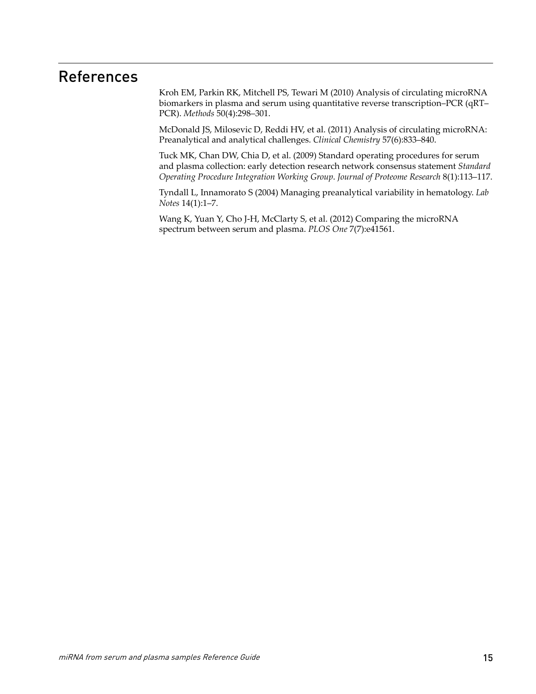## References

Kroh EM, Parkin RK, Mitchell PS, Tewari M (2010) Analysis of circulating microRNA biomarkers in plasma and serum using quantitative reverse transcription–PCR (qRT– PCR). *Methods* 50(4):298–301.

McDonald JS, Milosevic D, Reddi HV, et al. (2011) Analysis of circulating microRNA: Preanalytical and analytical challenges. *Clinical Chemistry* 57(6):833–840.

Tuck MK, Chan DW, Chia D, et al. (2009) Standard operating procedures for serum and plasma collection: early detection research network consensus statement *Standard Operating Procedure Integration Working Group*. *Journal of Proteome Research* 8(1):113–117.

Tyndall L, Innamorato S (2004) Managing preanalytical variability in hematology. *Lab Notes* 14(1):1–7.

Wang K, Yuan Y, Cho J-H, McClarty S, et al. (2012) Comparing the microRNA spectrum between serum and plasma. *PLOS One* 7(7):e41561.